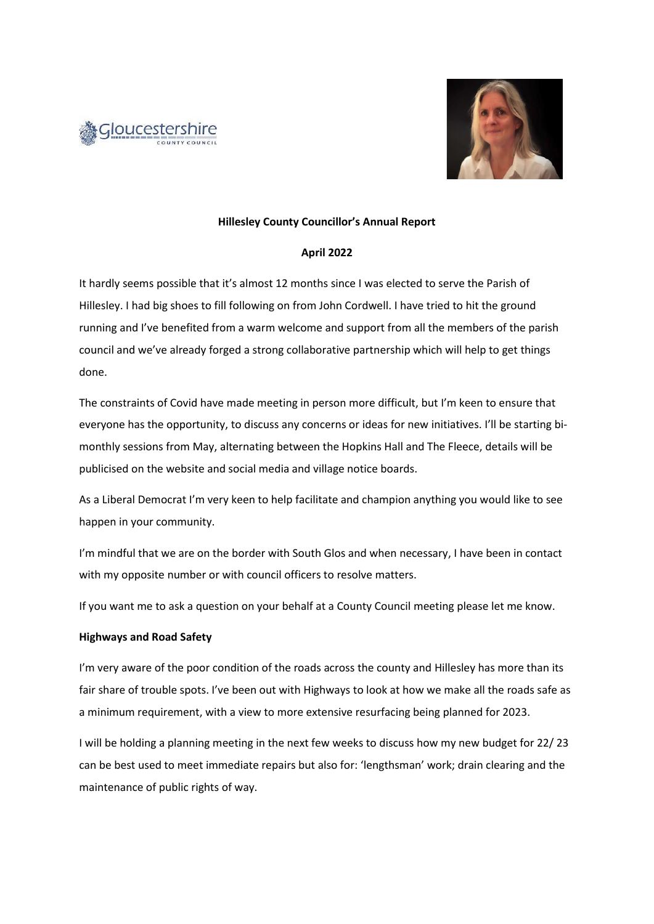



## **Hillesley County Councillor's Annual Report**

# **April 2022**

It hardly seems possible that it's almost 12 months since I was elected to serve the Parish of Hillesley. I had big shoes to fill following on from John Cordwell. I have tried to hit the ground running and I've benefited from a warm welcome and support from all the members of the parish council and we've already forged a strong collaborative partnership which will help to get things done.

The constraints of Covid have made meeting in person more difficult, but I'm keen to ensure that everyone has the opportunity, to discuss any concerns or ideas for new initiatives. I'll be starting bimonthly sessions from May, alternating between the Hopkins Hall and The Fleece, details will be publicised on the website and social media and village notice boards.

As a Liberal Democrat I'm very keen to help facilitate and champion anything you would like to see happen in your community.

I'm mindful that we are on the border with South Glos and when necessary, I have been in contact with my opposite number or with council officers to resolve matters.

If you want me to ask a question on your behalf at a County Council meeting please let me know.

## **Highways and Road Safety**

I'm very aware of the poor condition of the roads across the county and Hillesley has more than its fair share of trouble spots. I've been out with Highways to look at how we make all the roads safe as a minimum requirement, with a view to more extensive resurfacing being planned for 2023.

I will be holding a planning meeting in the next few weeks to discuss how my new budget for 22/ 23 can be best used to meet immediate repairs but also for: 'lengthsman' work; drain clearing and the maintenance of public rights of way.